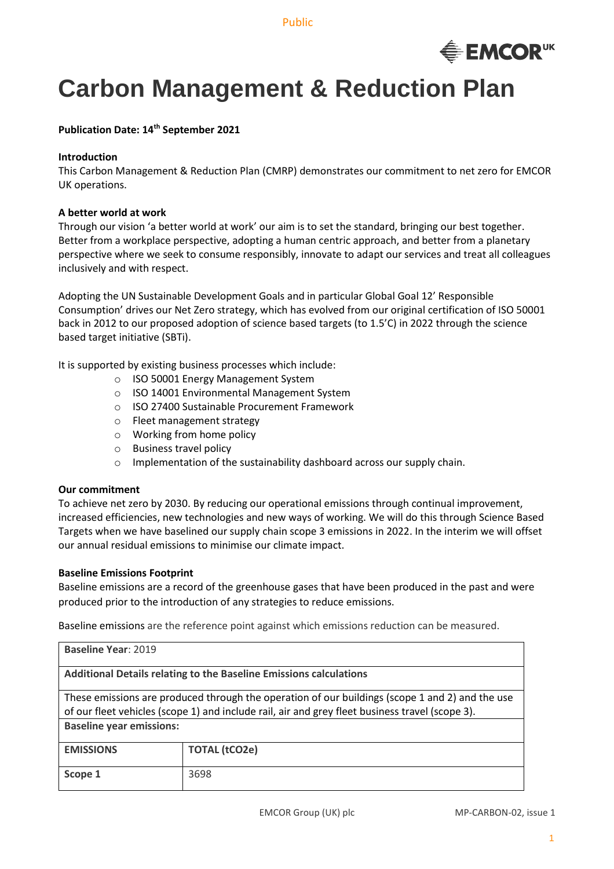Public



# **Carbon Management & Reduction Plan**

### **Publication Date: 14th September 2021**

#### **Introduction**

This Carbon Management & Reduction Plan (CMRP) demonstrates our commitment to net zero for EMCOR UK operations.

#### **A better world at work**

Through our vision 'a better world at work' our aim is to set the standard, bringing our best together. Better from a workplace perspective, adopting a human centric approach, and better from a planetary perspective where we seek to consume responsibly, innovate to adapt our services and treat all colleagues inclusively and with respect.

Adopting the UN Sustainable Development Goals and in particular Global Goal 12' Responsible Consumption' drives our Net Zero strategy, which has evolved from our original certification of ISO 50001 back in 2012 to our proposed adoption of science based targets (to 1.5'C) in 2022 through the science based target initiative (SBTi).

It is supported by existing business processes which include:

- o ISO 50001 Energy Management System
- o ISO 14001 Environmental Management System
- o ISO 27400 Sustainable Procurement Framework
- o Fleet management strategy
- o Working from home policy
- o Business travel policy
- o Implementation of the sustainability dashboard across our supply chain.

#### **Our commitment**

To achieve net zero by 2030. By reducing our operational emissions through continual improvement, increased efficiencies, new technologies and new ways of working. We will do this through Science Based Targets when we have baselined our supply chain scope 3 emissions in 2022. In the interim we will offset our annual residual emissions to minimise our climate impact.

#### **Baseline Emissions Footprint**

Baseline emissions are a record of the greenhouse gases that have been produced in the past and were produced prior to the introduction of any strategies to reduce emissions.

Baseline emissions are the reference point against which emissions reduction can be measured.

| Baseline Year: 2019                                                                                                                                                                                                                   |                      |  |  |
|---------------------------------------------------------------------------------------------------------------------------------------------------------------------------------------------------------------------------------------|----------------------|--|--|
| <b>Additional Details relating to the Baseline Emissions calculations</b>                                                                                                                                                             |                      |  |  |
| These emissions are produced through the operation of our buildings (scope 1 and 2) and the use<br>of our fleet vehicles (scope 1) and include rail, air and grey fleet business travel (scope 3).<br><b>Baseline year emissions:</b> |                      |  |  |
| <b>EMISSIONS</b>                                                                                                                                                                                                                      | <b>TOTAL (tCO2e)</b> |  |  |
| Scope 1                                                                                                                                                                                                                               | 3698                 |  |  |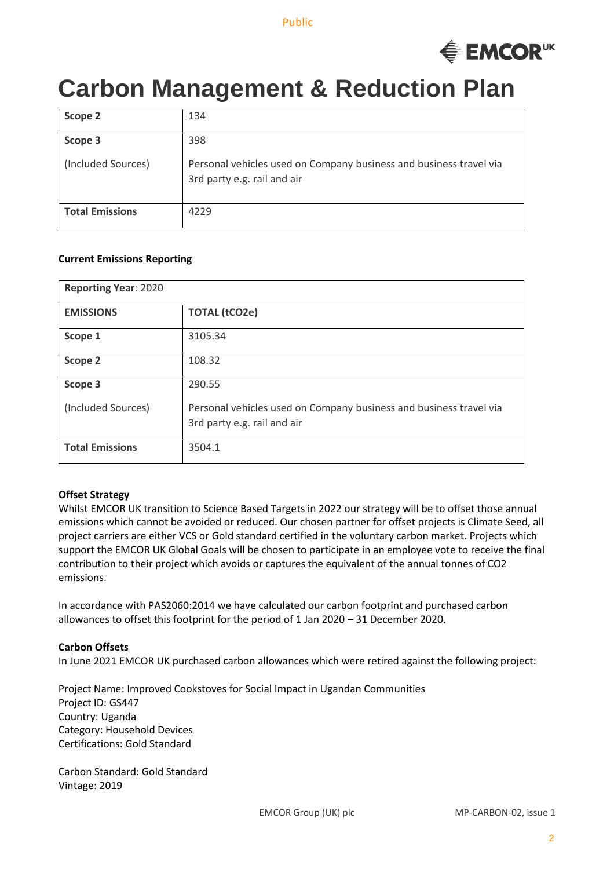

# **Carbon Management & Reduction Plan**

| Scope 2                | 134                                                                                               |
|------------------------|---------------------------------------------------------------------------------------------------|
| Scope 3                | 398                                                                                               |
| (Included Sources)     | Personal vehicles used on Company business and business travel via<br>3rd party e.g. rail and air |
| <b>Total Emissions</b> | 4229                                                                                              |

#### **Current Emissions Reporting**

| <b>Reporting Year: 2020</b> |                                                                                                   |  |
|-----------------------------|---------------------------------------------------------------------------------------------------|--|
| <b>EMISSIONS</b>            | <b>TOTAL (tCO2e)</b>                                                                              |  |
| Scope 1                     | 3105.34                                                                                           |  |
| Scope 2                     | 108.32                                                                                            |  |
| Scope 3                     | 290.55                                                                                            |  |
| (Included Sources)          | Personal vehicles used on Company business and business travel via<br>3rd party e.g. rail and air |  |
| <b>Total Emissions</b>      | 3504.1                                                                                            |  |

#### **Offset Strategy**

Whilst EMCOR UK transition to Science Based Targets in 2022 our strategy will be to offset those annual emissions which cannot be avoided or reduced. Our chosen partner for offset projects is Climate Seed, all project carriers are either VCS or Gold standard certified in the voluntary carbon market. Projects which support the EMCOR UK Global Goals will be chosen to participate in an employee vote to receive the final contribution to their project which avoids or captures the equivalent of the annual tonnes of CO2 emissions.

In accordance with PAS2060:2014 we have calculated our carbon footprint and purchased carbon allowances to offset this footprint for the period of 1 Jan 2020 – 31 December 2020.

#### **Carbon Offsets**

In June 2021 EMCOR UK purchased carbon allowances which were retired against the following project:

Project Name: Improved Cookstoves for Social Impact in Ugandan Communities Project ID: GS447 Country: Uganda Category: Household Devices Certifications: Gold Standard

Carbon Standard: Gold Standard Vintage: 2019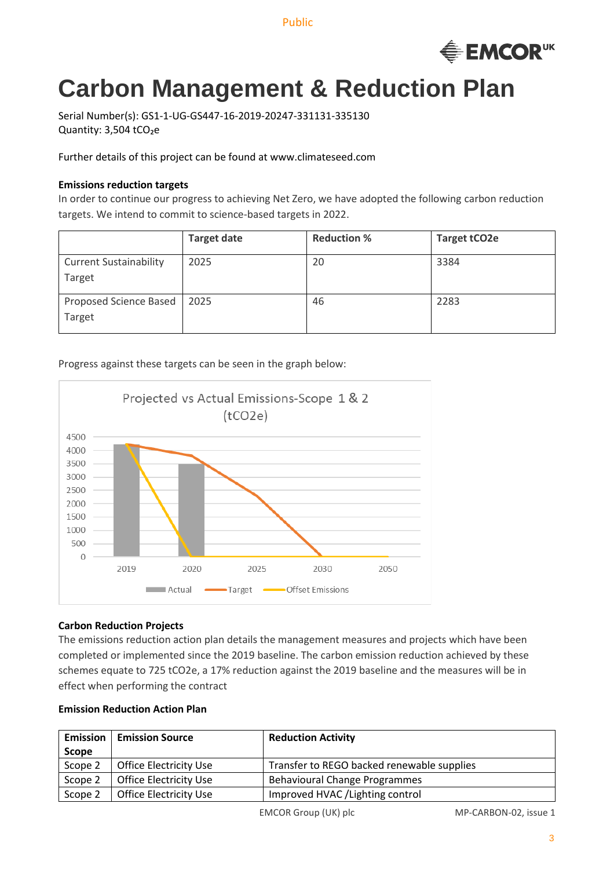Public



# **Carbon Management & Reduction Plan**

Serial Number(s): GS1-1-UG-GS447-16-2019-20247-331131-335130 Quantity: 3,504 tCO2e

Further details of this project can be found at www.climateseed.com

## **Emissions reduction targets**

In order to continue our progress to achieving Net Zero, we have adopted the following carbon reduction targets. We intend to commit to science-based targets in 2022.

|                                         | <b>Target date</b> | <b>Reduction %</b> | <b>Target tCO2e</b> |
|-----------------------------------------|--------------------|--------------------|---------------------|
| <b>Current Sustainability</b><br>Target | 2025               | 20                 | 3384                |
| Proposed Science Based<br>Target        | 2025               | 46                 | 2283                |

# Progress against these targets can be seen in the graph below:



## **Carbon Reduction Projects**

The emissions reduction action plan details the management measures and projects which have been completed or implemented since the 2019 baseline. The carbon emission reduction achieved by these schemes equate to 725 tCO2e, a 17% reduction against the 2019 baseline and the measures will be in effect when performing the contract

## **Emission Reduction Action Plan**

| <b>Emission</b> | <b>Emission Source</b>        | <b>Reduction Activity</b>                  |
|-----------------|-------------------------------|--------------------------------------------|
| Scope           |                               |                                            |
| Scope 2         | <b>Office Electricity Use</b> | Transfer to REGO backed renewable supplies |
| Scope 2         | <b>Office Electricity Use</b> | <b>Behavioural Change Programmes</b>       |
| Scope 2         | <b>Office Electricity Use</b> | Improved HVAC / Lighting control           |

EMCOR Group (UK) plc MP-CARBON-02, issue 1